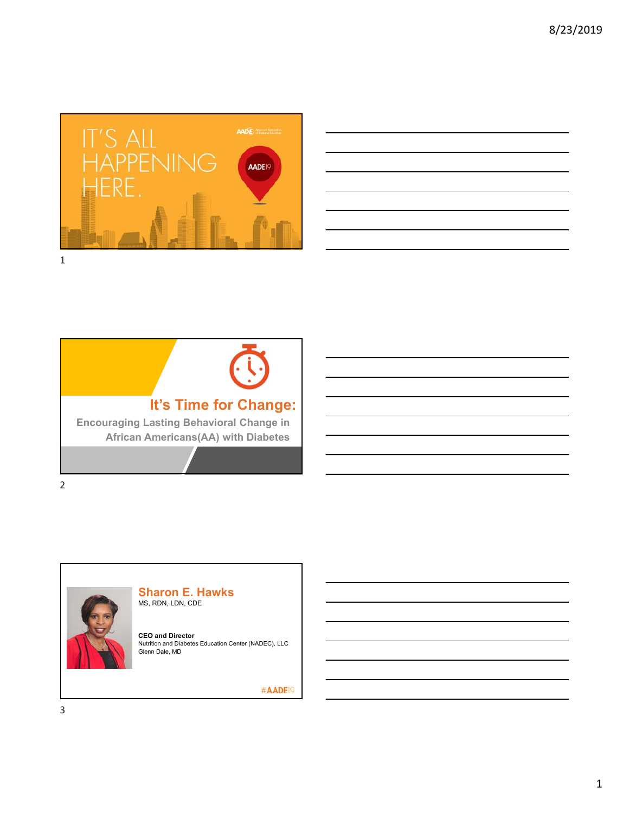





#### **Sharon E. Hawks** MS, RDN, LDN, CDE

**CEO and Director**<br>Nutrition and Diabetes Education Center (NADEC), LLC<br>Glenn Dale, MD

#AADE<sup>19</sup>

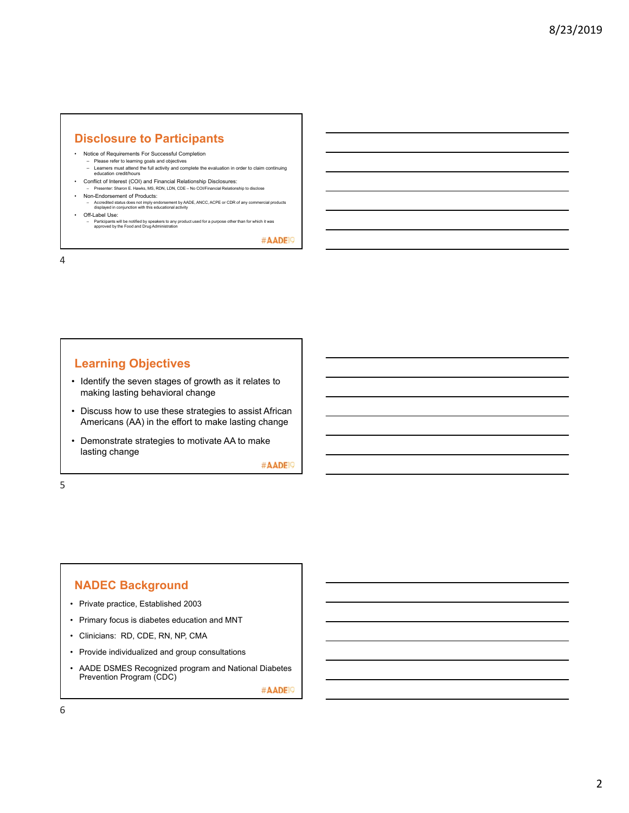## **Disclosure to Participants**

- Notice of Requirements For Successful Completion
- Please refer to learning goals and objectives Learners must attend the full activity and complete the evaluation in order to claim continuing education credit/hours
- Conflict of Interest (COI) and Financial Relationship Disclosures: – Presenter: Sharon E. Hawks, MS, RDN, LDN, CDE – No COI/Financial Relationship to disclose
- Non-Endorsement of Products:
- 
- Accredited status does not imply endorsement by AADE, ANCC, ACPE or CDR of any commercial products displayed in conjunction with this educational activity • Off-Label Use:
	- Participants will be notified by speakers to any product used for a purpose other than for which it was approved by the Food and Drug Administration

#AADE<sup>19</sup>

4

# **Learning Objectives**

- Identify the seven stages of growth as it relates to making lasting behavioral change
- Discuss how to use these strategies to assist African Americans (AA) in the effort to make lasting change
- Demonstrate strategies to motivate AA to make lasting change

#AADE<sup>19</sup>

5

### **NADEC Background**

- Private practice, Established 2003
- Primary focus is diabetes education and MNT
- Clinicians: RD, CDE, RN, NP, CMA
- Provide individualized and group consultations
- AADE DSMES Recognized program and National Diabetes Prevention Program (CDC)

#AADE<sup>19</sup>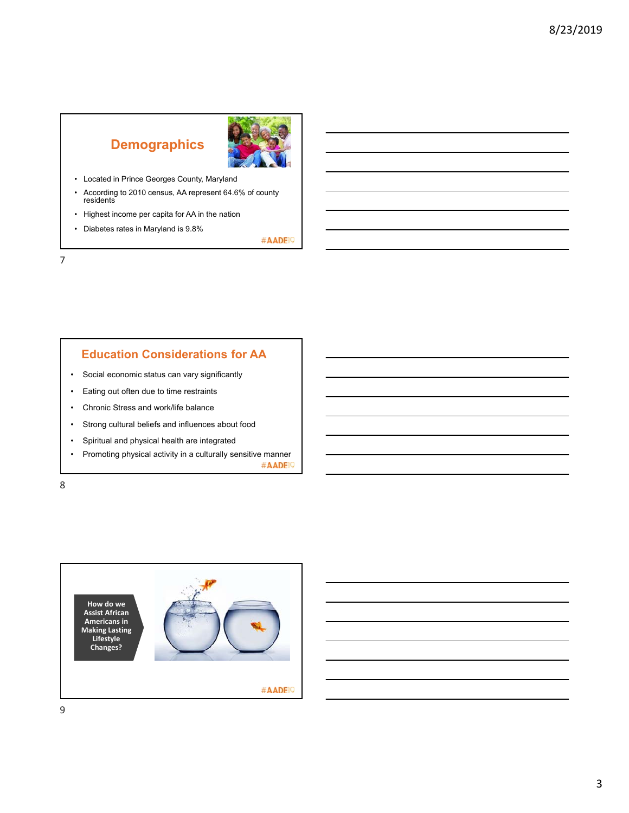# **Demographics**



- Located in Prince Georges County, Maryland
- According to 2010 census, AA represent 64.6% of county residents
- Highest income per capita for AA in the nation
- Diabetes rates in Maryland is 9.8%

#AADE<sup>19</sup>

7

# **Education Considerations for AA**

- Social economic status can vary significantly
- Eating out often due to time restraints
- Chronic Stress and work/life balance
- Strong cultural beliefs and influences about food
- Spiritual and physical health are integrated
- Promoting physical activity in a culturally sensitive manner #AADE<sup>19</sup>

8

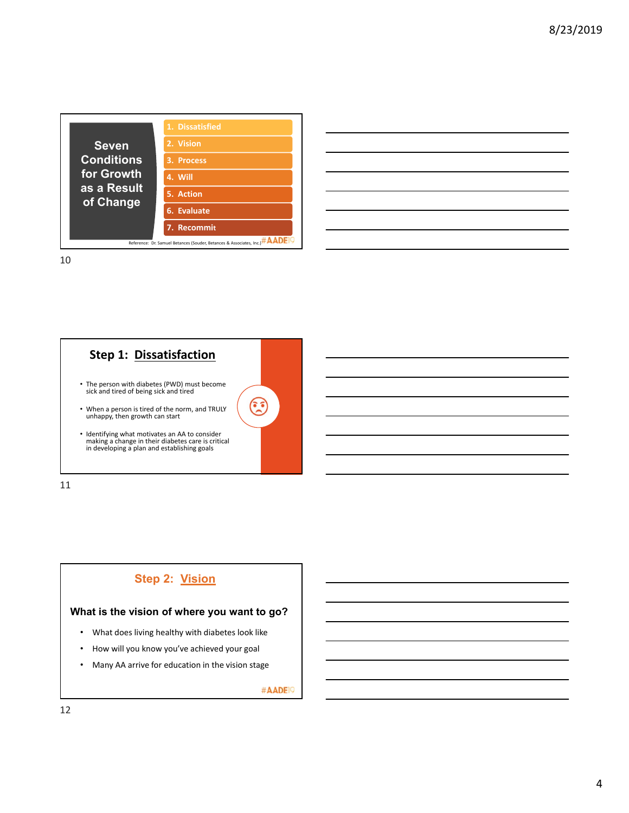

| <u> 1989 - Johann Stoff, deutscher Stoff, der Stoff, der Stoff, der Stoff, der Stoff, der Stoff, der Stoff, der S</u> |  |  |
|-----------------------------------------------------------------------------------------------------------------------|--|--|
|                                                                                                                       |  |  |
| <u> 1989 - Johann Stoff, amerikansk politiker (d. 1989)</u>                                                           |  |  |
| <u> 1989 - Andrea Andrew Maria (h. 1989).</u>                                                                         |  |  |
| <u> 1989 - Johann Stoff, amerikansk politiker (d. 1989)</u>                                                           |  |  |
| <u> 1989 - Andrea Santa Andrea Andrea Andrea Andrea Andrea Andrea Andrea Andrea Andrea Andrea Andrea Andrea Andr</u>  |  |  |
| ,我们也不会有一个人的事情。""我们的人,我们也不会有一个人的人,我们也不会有一个人的人,我们也不会有一个人的人,我们也不会有一个人的人,我们也不会有一个人的人,                                     |  |  |

10



11

# **Step 2: Vision**

#### **What is the vision of where you want to go?**

- What does living healthy with diabetes look like
- How will you know you've achieved your goal
- Many AA arrive for education in the vision stage

#AADE<sup>19</sup>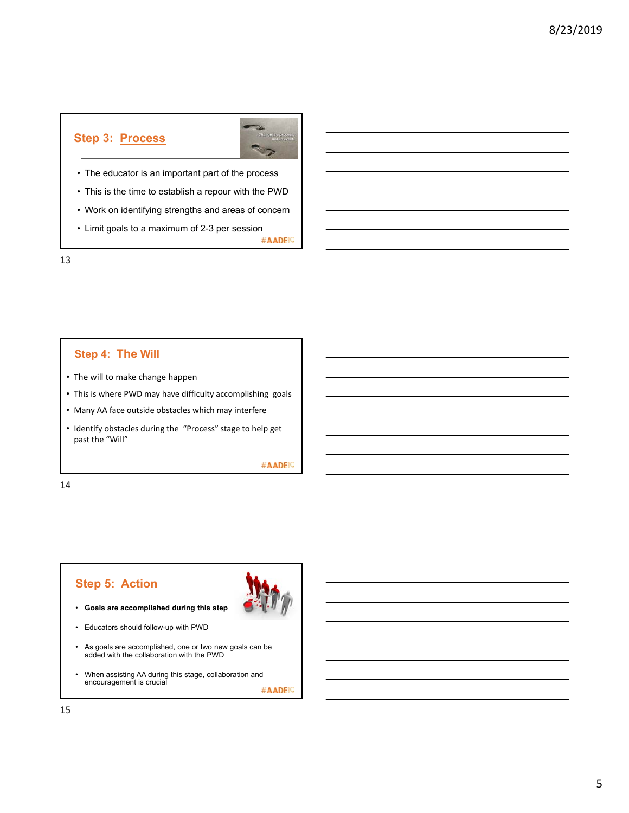# **Step 3: Process**



- The educator is an important part of the process
- This is the time to establish a repour with the PWD
- Work on identifying strengths and areas of concern
- Limit goals to a maximum of 2-3 per session

#AADE<sup>19</sup>

13

### **Step 4: The Will**

- The will to make change happen
- This is where PWD may have difficulty accomplishing goals
- Many AA face outside obstacles which may interfere
- Identify obstacles during the "Process" stage to help get past the "Will"

#AADE<sup>19</sup>

14

# **Step 5: Action**

- **Goals are accomplished during this step**
- Educators should follow-up with PWD
- As goals are accomplished, one or two new goals can be added with the collaboration with the PWD
- When assisting AA during this stage, collaboration and encouragement is crucial #AADE<sup>19</sup>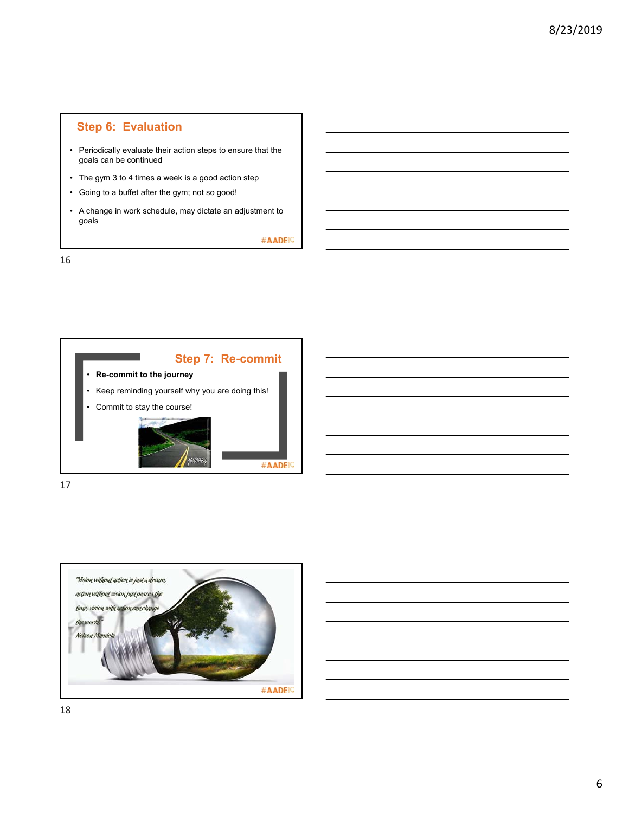# **Step 6: Evaluation**

- Periodically evaluate their action steps to ensure that the goals can be continued
- The gym 3 to 4 times a week is a good action step
- Going to a buffet after the gym; not so good!
- A change in work schedule, may dictate an adjustment to goals

#AADE<sup>19</sup>

16



17